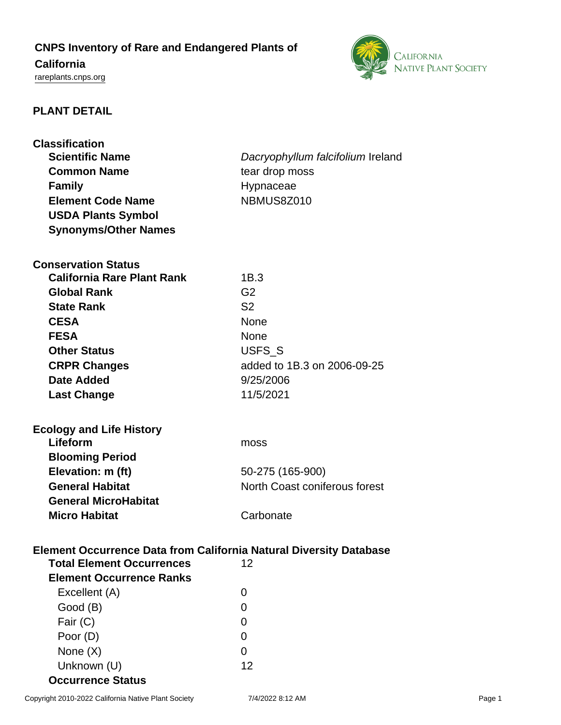# **CNPS Inventory of Rare and Endangered Plants of California**

<rareplants.cnps.org>



# **PLANT DETAIL**

| <b>Classification</b><br><b>Scientific Name</b><br><b>Common Name</b><br><b>Family</b><br><b>Element Code Name</b><br><b>USDA Plants Symbol</b> | Dacryophyllum falcifolium Ireland<br>tear drop moss<br>Hypnaceae<br>NBMUS8Z010 |
|-------------------------------------------------------------------------------------------------------------------------------------------------|--------------------------------------------------------------------------------|
| <b>Synonyms/Other Names</b>                                                                                                                     |                                                                                |
| <b>Conservation Status</b><br><b>California Rare Plant Rank</b>                                                                                 | 1B.3                                                                           |
| <b>Global Rank</b>                                                                                                                              | G <sub>2</sub>                                                                 |
| <b>State Rank</b>                                                                                                                               | S <sub>2</sub>                                                                 |
| <b>CESA</b>                                                                                                                                     | <b>None</b>                                                                    |
| <b>FESA</b>                                                                                                                                     | <b>None</b>                                                                    |
| <b>Other Status</b>                                                                                                                             | USFS_S                                                                         |
| <b>CRPR Changes</b>                                                                                                                             | added to 1B.3 on 2006-09-25                                                    |
| <b>Date Added</b>                                                                                                                               | 9/25/2006                                                                      |
| <b>Last Change</b>                                                                                                                              | 11/5/2021                                                                      |
|                                                                                                                                                 |                                                                                |
| <b>Ecology and Life History</b><br>Lifeform                                                                                                     |                                                                                |
| <b>Blooming Period</b>                                                                                                                          | moss                                                                           |
| Elevation: m (ft)                                                                                                                               | 50-275 (165-900)                                                               |
| <b>General Habitat</b>                                                                                                                          | North Coast coniferous forest                                                  |
| <b>General MicroHabitat</b>                                                                                                                     |                                                                                |
| <b>Micro Habitat</b>                                                                                                                            | Carbonate                                                                      |
|                                                                                                                                                 |                                                                                |
| Element Occurrence Data from California Natural Diversity Database<br><b>Total Element Occurrences</b><br>12<br><b>Element Occurrence Ranks</b> |                                                                                |
| Excellent (A)                                                                                                                                   | 0                                                                              |
| Good (B)                                                                                                                                        | 0                                                                              |
| Fair (C)                                                                                                                                        | 0                                                                              |
|                                                                                                                                                 |                                                                                |
|                                                                                                                                                 | 0                                                                              |
| Poor (D)<br>None $(X)$                                                                                                                          | 0                                                                              |

**Occurrence Status**